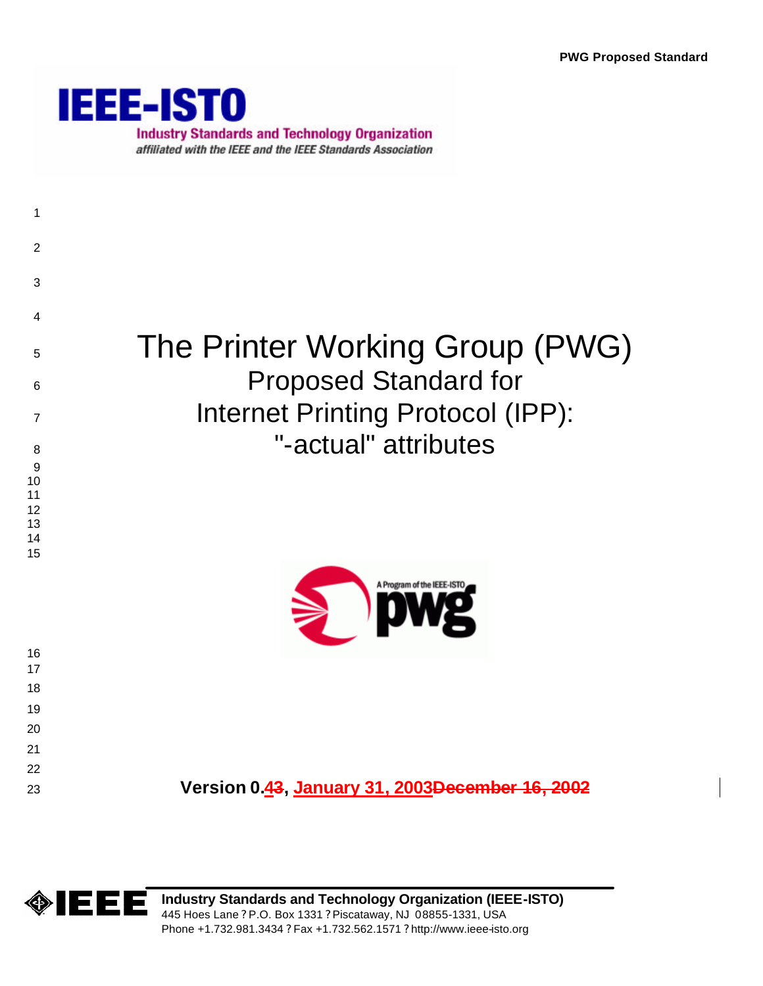

# The Printer Working Group (PWG) Proposed Standard for 7 Internet Printing Protocol (IPP): "-actual" attributes A Program of the IEEE-ISTO **Version 0.43, January 31, 2003December 16, 2002**



**Industry Standards and Technology Organization (IEEE-ISTO)** 445 Hoes Lane ? P.O. Box 1331 ? Piscataway, NJ 08855-1331, USA Phone +1.732.981.3434 ? Fax +1.732.562.1571 ? http://www.ieee-isto.org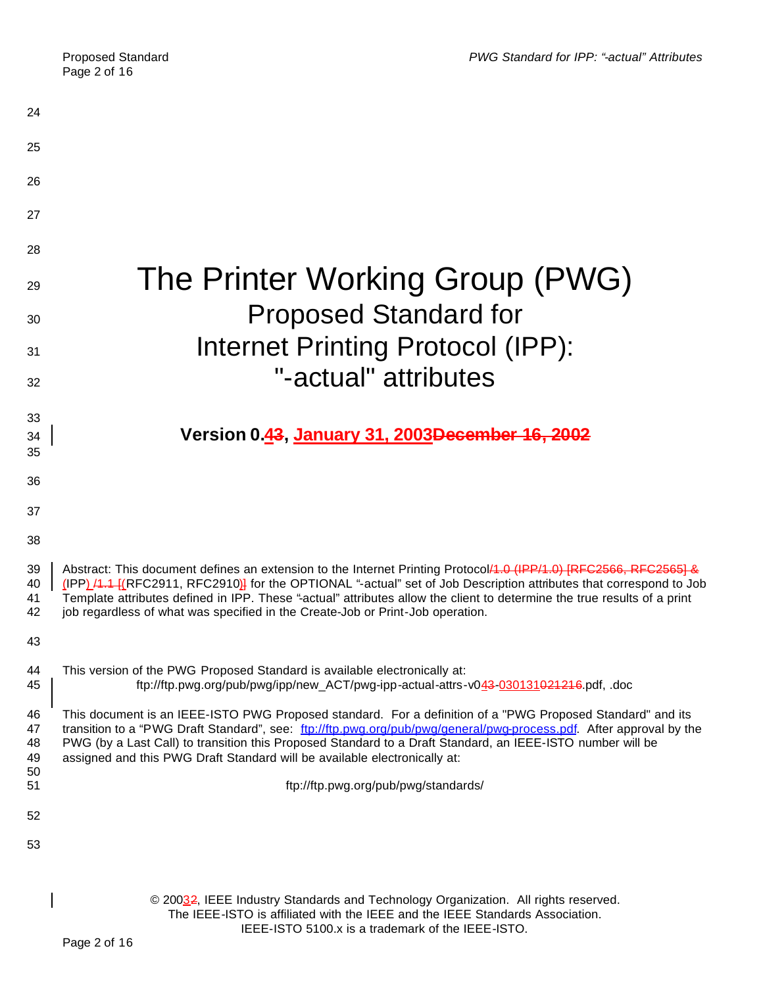| 24                               |                                                                                                                                                                                                                                                                                                                                                                                                                                                                      |
|----------------------------------|----------------------------------------------------------------------------------------------------------------------------------------------------------------------------------------------------------------------------------------------------------------------------------------------------------------------------------------------------------------------------------------------------------------------------------------------------------------------|
| 25                               |                                                                                                                                                                                                                                                                                                                                                                                                                                                                      |
| 26                               |                                                                                                                                                                                                                                                                                                                                                                                                                                                                      |
| 27                               |                                                                                                                                                                                                                                                                                                                                                                                                                                                                      |
| 28                               |                                                                                                                                                                                                                                                                                                                                                                                                                                                                      |
| 29                               | The Printer Working Group (PWG)                                                                                                                                                                                                                                                                                                                                                                                                                                      |
| 30                               | <b>Proposed Standard for</b>                                                                                                                                                                                                                                                                                                                                                                                                                                         |
| 31                               | Internet Printing Protocol (IPP):                                                                                                                                                                                                                                                                                                                                                                                                                                    |
| 32                               | "-actual" attributes                                                                                                                                                                                                                                                                                                                                                                                                                                                 |
| 33<br>34<br>35                   | Version 0.43, January 31, 2003 December 16, 2002                                                                                                                                                                                                                                                                                                                                                                                                                     |
| 36                               |                                                                                                                                                                                                                                                                                                                                                                                                                                                                      |
| 37                               |                                                                                                                                                                                                                                                                                                                                                                                                                                                                      |
| 38<br>39<br>40<br>41<br>42<br>43 | Abstract: This document defines an extension to the Internet Printing Protocol/1.0 (IPP/1.0) [RFC2566, RFC2565] &<br>(IPP) /1.1 [(RFC2911, RFC2910)] for the OPTIONAL "-actual" set of Job Description attributes that correspond to Job<br>Template attributes defined in IPP. These "actual" attributes allow the client to determine the true results of a print<br>job regardless of what was specified in the Create-Job or Print-Job operation.                |
| 44<br>45                         | This version of the PWG Proposed Standard is available electronically at:<br>ftp://ftp.pwg.org/pub/pwg/ipp/new_ACT/pwg-ipp-actual-attrs-v043-030131021216.pdf, .doc                                                                                                                                                                                                                                                                                                  |
| 46<br>47<br>48<br>49<br>50<br>51 | This document is an IEEE-ISTO PWG Proposed standard. For a definition of a "PWG Proposed Standard" and its<br>transition to a "PWG Draft Standard", see: ftp://ftp.pwg.org/pub/pwg/general/pwg-process.pdf. After approval by the<br>PWG (by a Last Call) to transition this Proposed Standard to a Draft Standard, an IEEE-ISTO number will be<br>assigned and this PWG Draft Standard will be available electronically at:<br>ftp://ftp.pwg.org/pub/pwg/standards/ |
| 52                               |                                                                                                                                                                                                                                                                                                                                                                                                                                                                      |
| 53                               |                                                                                                                                                                                                                                                                                                                                                                                                                                                                      |
|                                  | © 20032, IEEE Industry Standards and Technology Organization. All rights reserved.<br>The IEEE-ISTO is affiliated with the IEEE and the IEEE Standards Association.<br>IEEE-ISTO 5100.x is a trademark of the IEEE-ISTO.                                                                                                                                                                                                                                             |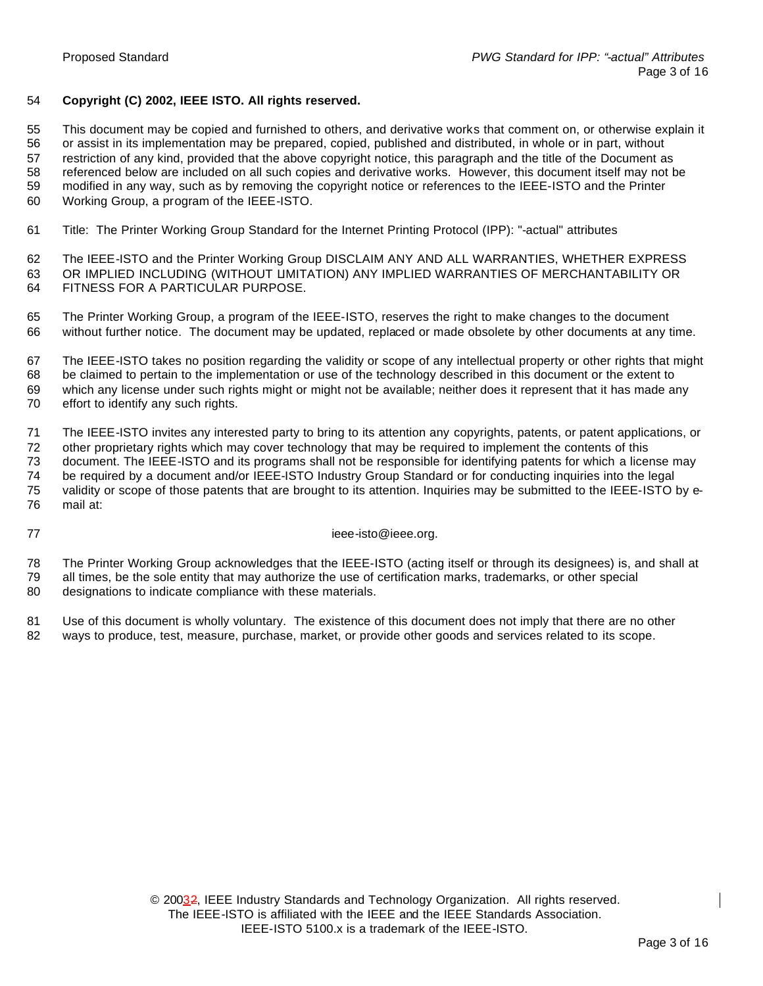### **Copyright (C) 2002, IEEE ISTO. All rights reserved.**

 This document may be copied and furnished to others, and derivative works that comment on, or otherwise explain it or assist in its implementation may be prepared, copied, published and distributed, in whole or in part, without restriction of any kind, provided that the above copyright notice, this paragraph and the title of the Document as referenced below are included on all such copies and derivative works. However, this document itself may not be modified in any way, such as by removing the copyright notice or references to the IEEE-ISTO and the Printer Working Group, a program of the IEEE-ISTO.

Title: The Printer Working Group Standard for the Internet Printing Protocol (IPP): "-actual" attributes

 The IEEE-ISTO and the Printer Working Group DISCLAIM ANY AND ALL WARRANTIES, WHETHER EXPRESS OR IMPLIED INCLUDING (WITHOUT LIMITATION) ANY IMPLIED WARRANTIES OF MERCHANTABILITY OR FITNESS FOR A PARTICULAR PURPOSE.

 The Printer Working Group, a program of the IEEE-ISTO, reserves the right to make changes to the document without further notice. The document may be updated, replaced or made obsolete by other documents at any time.

 The IEEE-ISTO takes no position regarding the validity or scope of any intellectual property or other rights that might be claimed to pertain to the implementation or use of the technology described in this document or the extent to which any license under such rights might or might not be available; neither does it represent that it has made any effort to identify any such rights.

The IEEE-ISTO invites any interested party to bring to its attention any copyrights, patents, or patent applications, or

other proprietary rights which may cover technology that may be required to implement the contents of this

 document. The IEEE-ISTO and its programs shall not be responsible for identifying patents for which a license may be required by a document and/or IEEE-ISTO Industry Group Standard or for conducting inquiries into the legal

- validity or scope of those patents that are brought to its attention. Inquiries may be submitted to the IEEE-ISTO by e-mail at:
- 

### 77 ieee-isto@ieee.org.

 The Printer Working Group acknowledges that the IEEE-ISTO (acting itself or through its designees) is, and shall at all times, be the sole entity that may authorize the use of certification marks, trademarks, or other special

designations to indicate compliance with these materials.

 Use of this document is wholly voluntary. The existence of this document does not imply that there are no other ways to produce, test, measure, purchase, market, or provide other goods and services related to its scope.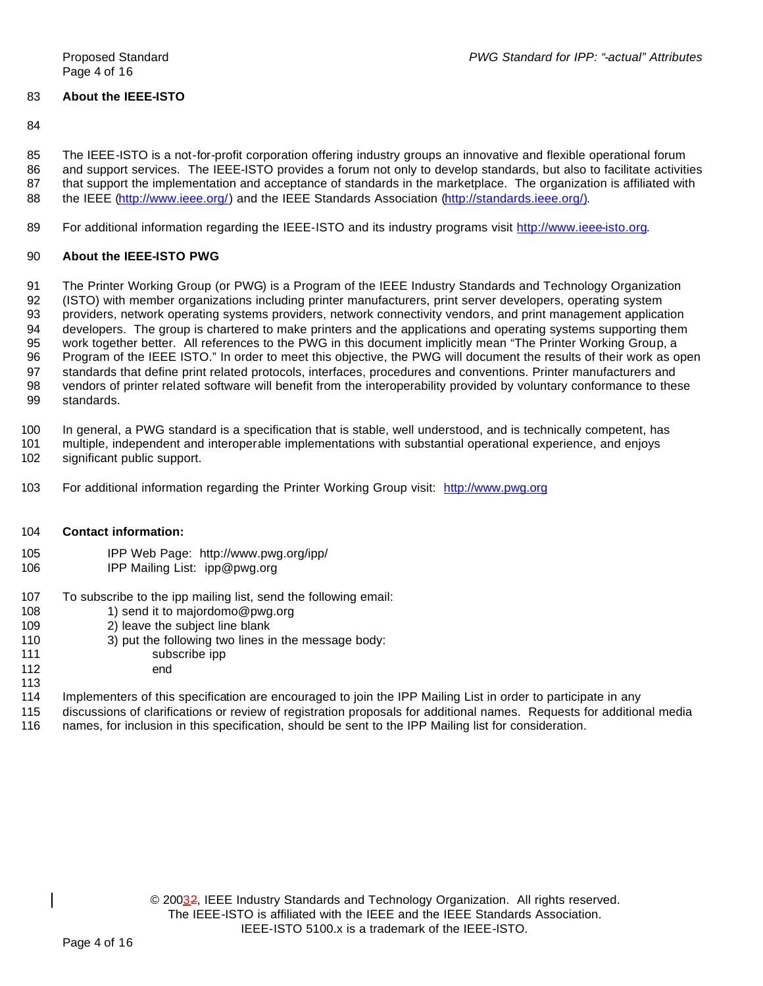### **About the IEEE-ISTO**

 The IEEE-ISTO is a not-for-profit corporation offering industry groups an innovative and flexible operational forum 86 and support services. The IEEE-ISTO provides a forum not only to develop standards, but also to facilitate activities 87 that support the implementation and acceptance of standards in the marketplace. The organization is affiliated with 88 the IEEE (http://www.ieee.org/) and the IEEE Standards Association (http://standards.ieee.org/).

For additional information regarding the IEEE-ISTO and its industry programs visit http://www.ieee-isto.org.

### **About the IEEE-ISTO PWG**

 The Printer Working Group (or PWG) is a Program of the IEEE Industry Standards and Technology Organization (ISTO) with member organizations including printer manufacturers, print server developers, operating system providers, network operating systems providers, network connectivity vendors, and print management application developers. The group is chartered to make printers and the applications and operating systems supporting them work together better. All references to the PWG in this document implicitly mean "The Printer Working Group, a Program of the IEEE ISTO." In order to meet this objective, the PWG will document the results of their work as open standards that define print related protocols, interfaces, procedures and conventions. Printer manufacturers and vendors of printer related software will benefit from the interoperability provided by voluntary conformance to these standards.

In general, a PWG standard is a specification that is stable, well understood, and is technically competent, has

- multiple, independent and interoperable implementations with substantial operational experience, and enjoys significant public support.
- For additional information regarding the Printer Working Group visit: http://www.pwg.org

### **Contact information:**

- IPP Web Page: http://www.pwg.org/ipp/
- IPP Mailing List: ipp@pwg.org
- To subscribe to the ipp mailing list, send the following email:
- 108 1) send it to majordomo@pwg.org
- 2) leave the subject line blank
- 110 3) put the following two lines in the message body:
- 111 subscribe ipp
- end

- Implementers of this specification are encouraged to join the IPP Mailing List in order to participate in any
- discussions of clarifications or review of registration proposals for additional names. Requests for additional media
- names, for inclusion in this specification, should be sent to the IPP Mailing list for consideration.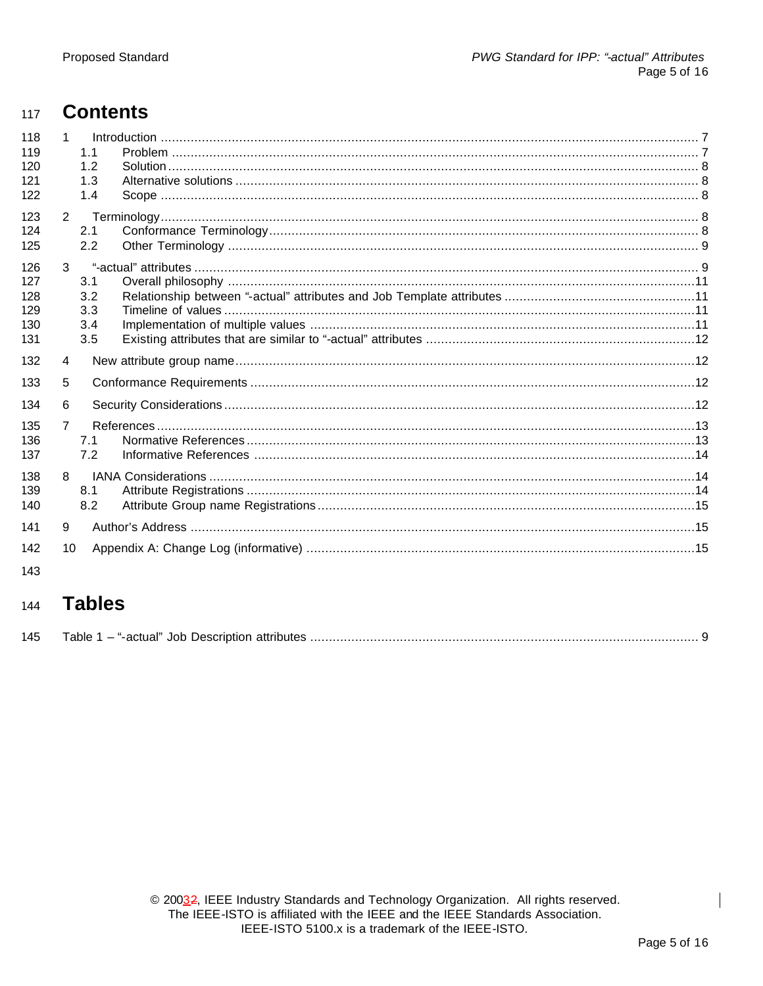#### **Contents** 117

| 118 |                |     |  |
|-----|----------------|-----|--|
| 119 |                | 1.1 |  |
| 120 |                | 1.2 |  |
| 121 |                | 1.3 |  |
| 122 |                | 1.4 |  |
| 123 | 2              |     |  |
| 124 |                | 2.1 |  |
| 125 |                | 2.2 |  |
| 126 | 3              |     |  |
| 127 |                | 3.1 |  |
| 128 |                | 3.2 |  |
| 129 |                | 3.3 |  |
| 130 |                | 3.4 |  |
| 131 |                | 3.5 |  |
| 132 | 4              |     |  |
| 133 | 5              |     |  |
| 134 | 6              |     |  |
| 135 | $\overline{7}$ |     |  |
| 136 |                | 7.1 |  |
| 137 |                | 7.2 |  |
| 138 | 8              |     |  |
| 139 |                | 8.1 |  |
| 140 |                | 8.2 |  |
| 141 | 9              |     |  |
| 142 | 10             |     |  |
|     |                |     |  |
| 143 |                |     |  |

#### **Tables** 144

|--|--|--|--|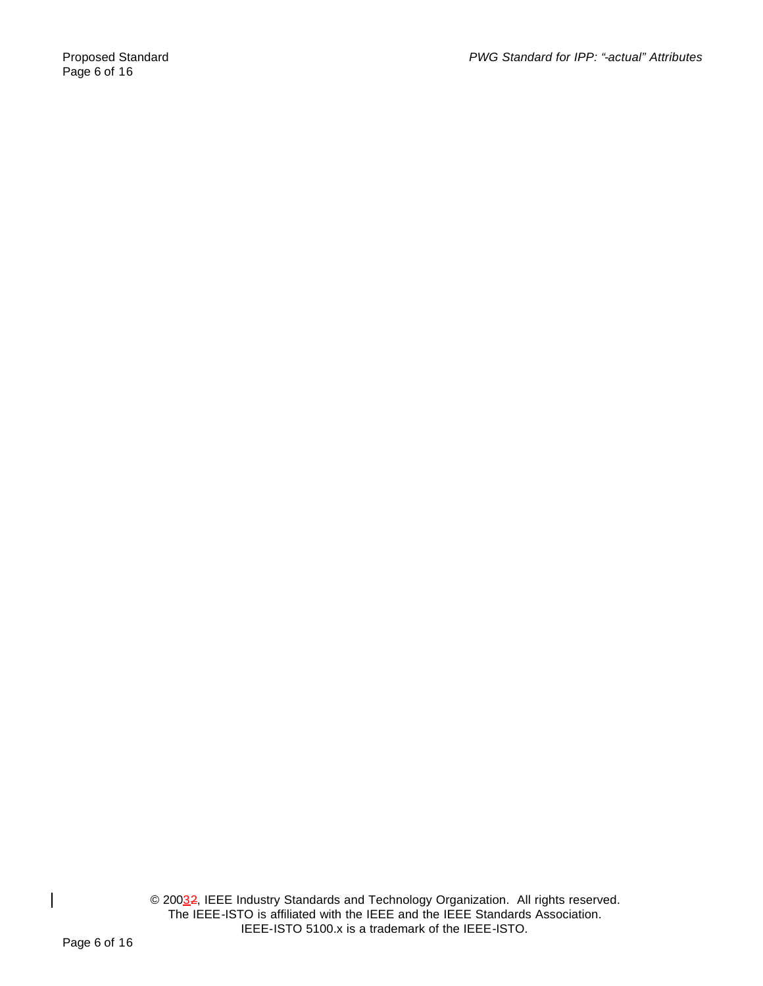Page 6 of 16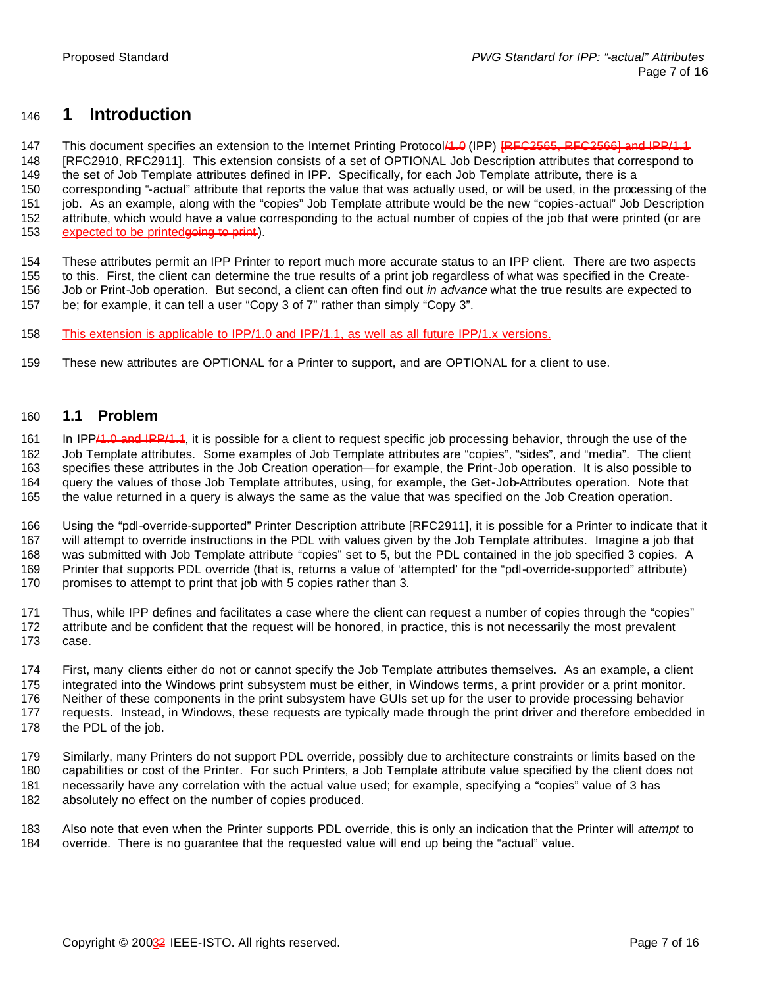## **1 Introduction**

147 This document specifies an extension to the Internet Printing Protocol 4.0 (IPP) [RFC2566, RFC2566] and IPP/1.1

 [RFC2910, RFC2911]. This extension consists of a set of OPTIONAL Job Description attributes that correspond to the set of Job Template attributes defined in IPP. Specifically, for each Job Template attribute, there is a corresponding "-actual" attribute that reports the value that was actually used, or will be used, in the processing of the job. As an example, along with the "copies" Job Template attribute would be the new "copies-actual" Job Description attribute, which would have a value corresponding to the actual number of copies of the job that were printed (or are 153 expected to be printedgoing to print).

 These attributes permit an IPP Printer to report much more accurate status to an IPP client. There are two aspects to this. First, the client can determine the true results of a print job regardless of what was specified in the Create- Job or Print-Job operation. But second, a client can often find out *in advance* what the true results are expected to be; for example, it can tell a user "Copy 3 of 7" rather than simply "Copy 3".

- This extension is applicable to IPP/1.0 and IPP/1.1, as well as all future IPP/1.x versions.
- These new attributes are OPTIONAL for a Printer to support, and are OPTIONAL for a client to use.

## **1.1 Problem**

161 In IPP/4.0 and IPP/1.4, it is possible for a client to request specific job processing behavior, through the use of the Job Template attributes. Some examples of Job Template attributes are "copies", "sides", and "media". The client specifies these attributes in the Job Creation operation—for example, the Print-Job operation. It is also possible to query the values of those Job Template attributes, using, for example, the Get-Job-Attributes operation. Note that the value returned in a query is always the same as the value that was specified on the Job Creation operation.

 Using the "pdl-override-supported" Printer Description attribute [RFC2911], it is possible for a Printer to indicate that it will attempt to override instructions in the PDL with values given by the Job Template attributes. Imagine a job that was submitted with Job Template attribute "copies" set to 5, but the PDL contained in the job specified 3 copies. A Printer that supports PDL override (that is, returns a value of 'attempted' for the "pdl-override-supported" attribute) promises to attempt to print that job with 5 copies rather than 3.

 Thus, while IPP defines and facilitates a case where the client can request a number of copies through the "copies" attribute and be confident that the request will be honored, in practice, this is not necessarily the most prevalent case.

 First, many clients either do not or cannot specify the Job Template attributes themselves. As an example, a client integrated into the Windows print subsystem must be either, in Windows terms, a print provider or a print monitor. Neither of these components in the print subsystem have GUIs set up for the user to provide processing behavior requests. Instead, in Windows, these requests are typically made through the print driver and therefore embedded in 178 the PDL of the job.

 Similarly, many Printers do not support PDL override, possibly due to architecture constraints or limits based on the capabilities or cost of the Printer. For such Printers, a Job Template attribute value specified by the client does not necessarily have any correlation with the actual value used; for example, specifying a "copies" value of 3 has absolutely no effect on the number of copies produced.

 Also note that even when the Printer supports PDL override, this is only an indication that the Printer will *attempt* to override. There is no guarantee that the requested value will end up being the "actual" value.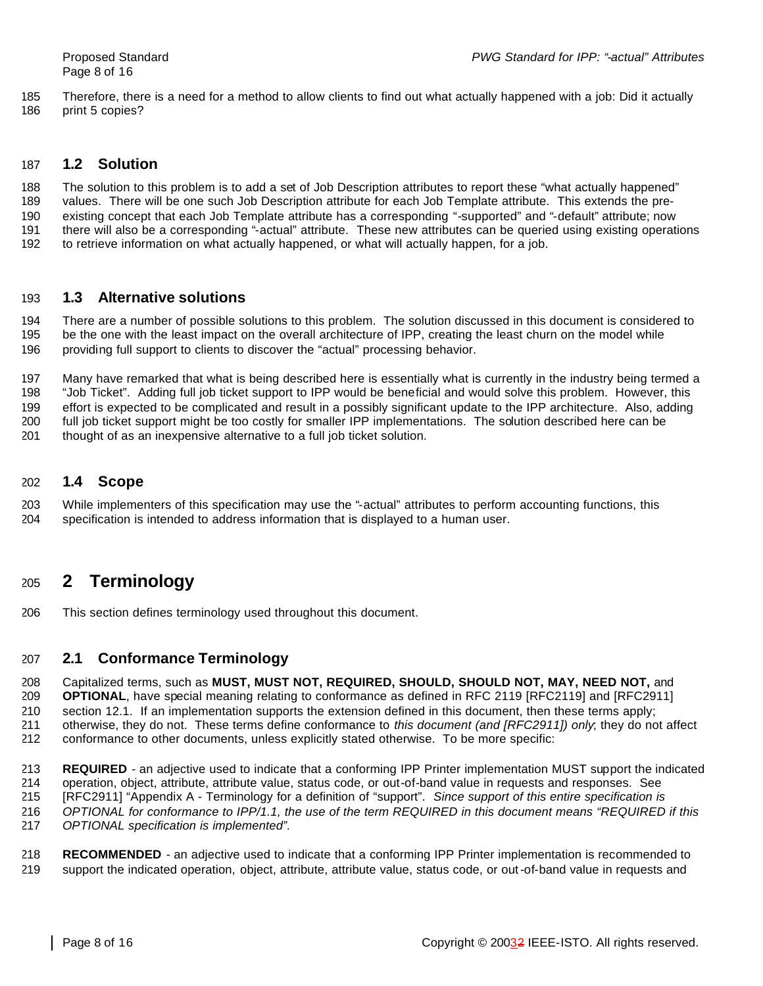Page 8 of 16

 Therefore, there is a need for a method to allow clients to find out what actually happened with a job: Did it actually print 5 copies?

## **1.2 Solution**

 The solution to this problem is to add a set of Job Description attributes to report these "what actually happened" values. There will be one such Job Description attribute for each Job Template attribute. This extends the pre- existing concept that each Job Template attribute has a corresponding "-supported" and "-default" attribute; now there will also be a corresponding "-actual" attribute. These new attributes can be queried using existing operations to retrieve information on what actually happened, or what will actually happen, for a job.

## **1.3 Alternative solutions**

 There are a number of possible solutions to this problem. The solution discussed in this document is considered to be the one with the least impact on the overall architecture of IPP, creating the least churn on the model while providing full support to clients to discover the "actual" processing behavior.

 Many have remarked that what is being described here is essentially what is currently in the industry being termed a "Job Ticket". Adding full job ticket support to IPP would be beneficial and would solve this problem. However, this effort is expected to be complicated and result in a possibly significant update to the IPP architecture. Also, adding full job ticket support might be too costly for smaller IPP implementations. The solution described here can be 201 thought of as an inexpensive alternative to a full job ticket solution.

### **1.4 Scope**

203 While implementers of this specification may use the "-actual" attributes to perform accounting functions, this specification is intended to address information that is displayed to a human user.

## **2 Terminology**

This section defines terminology used throughout this document.

### **2.1 Conformance Terminology**

 Capitalized terms, such as **MUST, MUST NOT, REQUIRED, SHOULD, SHOULD NOT, MAY, NEED NOT,** and **OPTIONAL**, have special meaning relating to conformance as defined in RFC 2119 [RFC2119] and [RFC2911] section 12.1. If an implementation supports the extension defined in this document, then these terms apply; otherwise, they do not. These terms define conformance to *this document (and [RFC2911]) only*; they do not affect conformance to other documents, unless explicitly stated otherwise. To be more specific:

 **REQUIRED** - an adjective used to indicate that a conforming IPP Printer implementation MUST support the indicated 214 operation, object, attribute, attribute value, status code, or out-of-band value in requests and responses. See<br>215 FREC29111 "Appendix A - Terminology for a definition of "support". Since support of this entire specif [RFC2911] "Appendix A - Terminology for a definition of "support". *Since support of this entire specification is OPTIONAL for conformance to IPP/1.1, the use of the term REQUIRED in this document means "REQUIRED if this OPTIONAL specification is implemented".*

 **RECOMMENDED** - an adjective used to indicate that a conforming IPP Printer implementation is recommended to support the indicated operation, object, attribute, attribute value, status code, or out-of-band value in requests and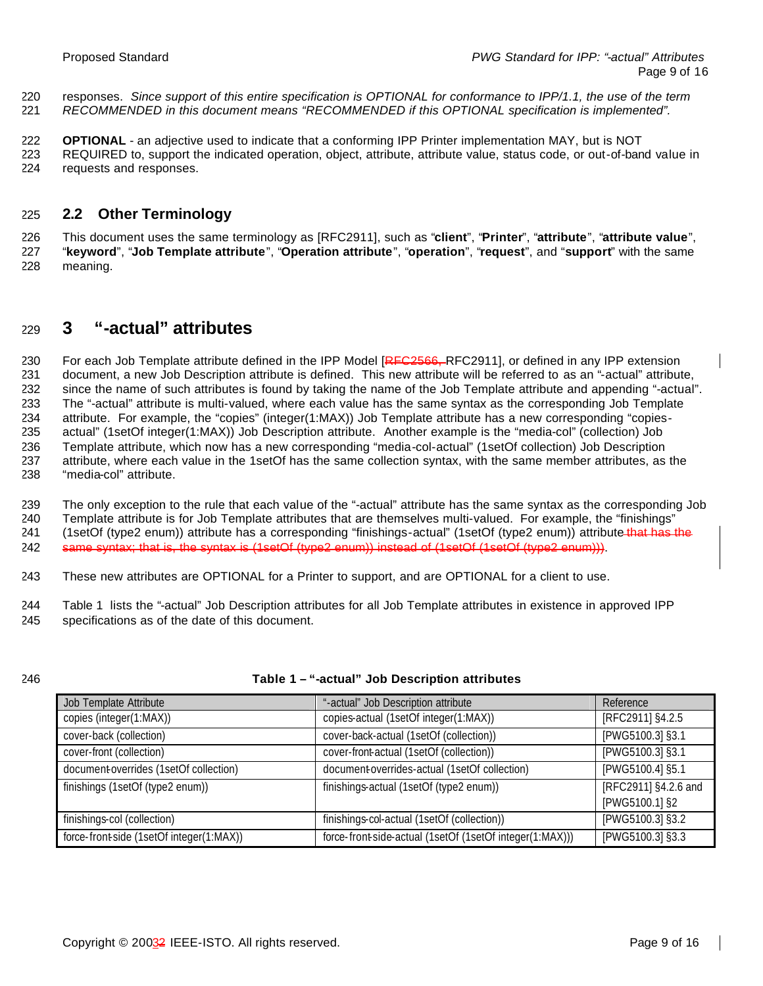220 responses. *Since support of this entire specification is OPTIONAL for conformance to IPP/1.1, the use of the term*  221 *RECOMMENDED in this document means "RECOMMENDED if this OPTIONAL specification is implemented".*

222 **OPTIONAL** - an adjective used to indicate that a conforming IPP Printer implementation MAY, but is NOT

223 REQUIRED to, support the indicated operation, object, attribute, attribute value, status code, or out-of-band value in 224 requests and responses.

## 225 **2.2 Other Terminology**

226 This document uses the same terminology as [RFC2911], such as "**client**", "**Printer**", "**attribute**", "**attribute value**", 227 "**keyword**", "**Job Template attribute**", "**Operation attribute**", "**operation**", "**request**", and "**support**" with the same 228 meaning.

## <sup>229</sup> **3 "-actual" attributes**

230 For each Job Template attribute defined in the IPP Model [REC2566, RFC2911], or defined in any IPP extension document, a new Job Description attribute is defined. This new attribute will be referred to as an "-actual" attribute, since the name of such attributes is found by taking the name of the Job Template attribute and appending "-actual". The "-actual" attribute is multi-valued, where each value has the same syntax as the corresponding Job Template attribute. For example, the "copies" (integer(1:MAX)) Job Template attribute has a new corresponding "copies- actual" (1setOf integer(1:MAX)) Job Description attribute. Another example is the "media-col" (collection) Job Template attribute, which now has a new corresponding "media-col-actual" (1setOf collection) Job Description attribute, where each value in the 1setOf has the same collection syntax, with the same member attributes, as the "media-col" attribute.

239 The only exception to the rule that each value of the "-actual" attribute has the same syntax as the corresponding Job 240 Template attribute is for Job Template attributes that are themselves multi-valued. For example, the "finishings" 241 (1setOf (type2 enum)) attribute has a corresponding "finishings-actual" (1setOf (type2 enum)) attribute that has the 242 same syntax; that is, the syntax is (1setOf (type2 enum)) instead of (1setOf (1setOf (type2 enum))).

243 These new attributes are OPTIONAL for a Printer to support, and are OPTIONAL for a client to use.

244 Table 1 lists the "-actual" Job Description attributes for all Job Template attributes in existence in approved IPP 245 specifications as of the date of this document.

### 246 **Table 1 – "-actual" Job Description attributes**

| Job Template Attribute                   | "-actual" Job Description attribute                      | Reference                              |
|------------------------------------------|----------------------------------------------------------|----------------------------------------|
| copies (integer(1:MAX))                  | copies-actual (1setOf integer(1:MAX))                    | [RFC2911] §4.2.5                       |
| cover-back (collection)                  | cover-back-actual (1setOf (collection))                  | [PWG5100.3] §3.1                       |
| cover-front (collection)                 | cover-front-actual (1setOf (collection))                 | [PWG5100.3] §3.1                       |
| document-overrides (1setOf collection)   | document-overrides-actual (1setOf collection)            | [PWG5100.4] §5.1                       |
| finishings (1setOf (type2 enum))         | finishings-actual (1setOf (type2 enum))                  | [RFC2911] §4.2.6 and<br>[PWG5100.1] §2 |
| finishings-col (collection)              | finishings-col-actual (1setOf (collection))              | [PWG5100.3] §3.2                       |
| force-front-side (1setOf integer(1:MAX)) | force-front-side-actual (1setOf (1setOf integer(1:MAX))) | [PWG5100.3] §3.3                       |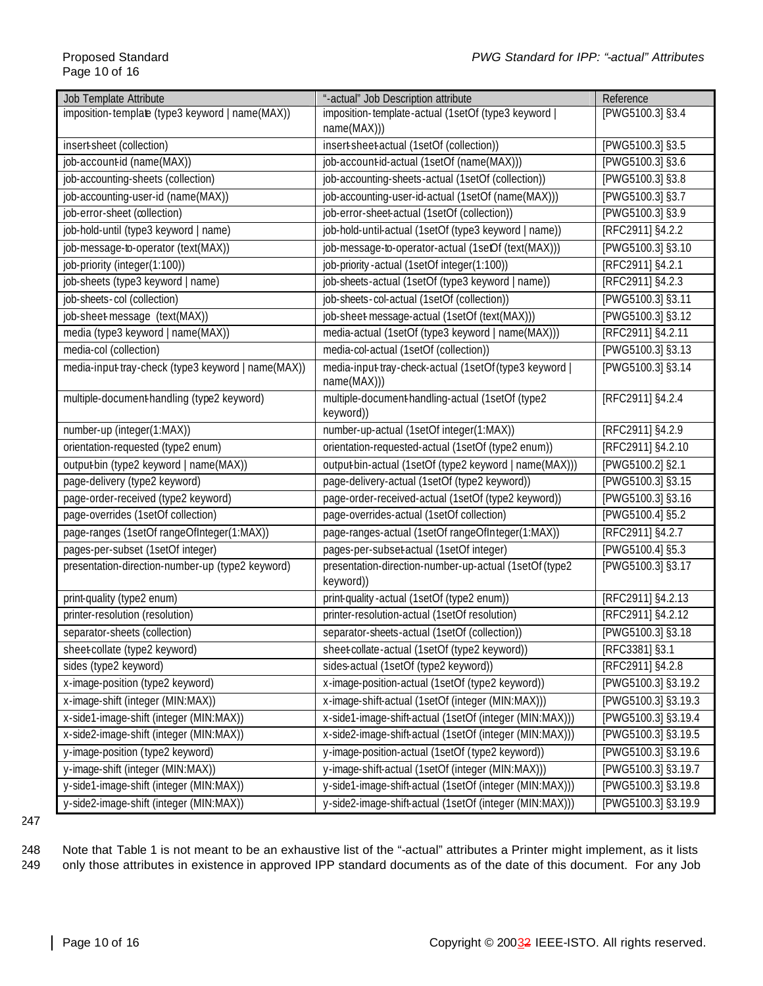| Job Template Attribute                             | "-actual" Job Description attribute                                   | Reference           |
|----------------------------------------------------|-----------------------------------------------------------------------|---------------------|
| imposition-template (type3 keyword   name(MAX))    | imposition-template-actual (1setOf (type3 keyword                     | [PWG5100.3] §3.4    |
|                                                    | name(MAX)))                                                           |                     |
| insert-sheet (collection)                          | insert-sheet-actual (1setOf (collection))                             | [PWG5100.3] §3.5    |
| job-account-id (name(MAX))                         | job-account-id-actual (1setOf (name(MAX)))                            | [PWG5100.3] §3.6    |
| job-accounting-sheets (collection)                 | job-accounting-sheets-actual (1setOf (collection))                    | [PWG5100.3] §3.8    |
| job-accounting-user-id (name(MAX))                 | job-accounting-user-id-actual (1setOf (name(MAX)))                    | [PWG5100.3] §3.7    |
| job-error-sheet (collection)                       | job-error-sheet-actual (1setOf (collection))                          | [PWG5100.3] §3.9    |
| job-hold-until (type3 keyword   name)              | job-hold-until-actual (1setOf (type3 keyword   name))                 | [RFC2911] §4.2.2    |
| job-message-to-operator (text(MAX))                | job-message-to-operator-actual (1setOf (text(MAX)))                   | [PWG5100.3] §3.10   |
| job-priority (integer(1:100))                      | job-priority-actual (1setOf integer(1:100))                           | [RFC2911] §4.2.1    |
| job-sheets (type3 keyword   name)                  | job-sheets-actual (1setOf (type3 keyword   name))                     | [RFC2911] §4.2.3    |
| job-sheets-col (collection)                        | job-sheets-col-actual (1setOf (collection))                           | [PWG5100.3] §3.11   |
| job-sheet-message (text(MAX))                      | job-sheet-message-actual (1setOf (text(MAX)))                         | [PWG5100.3] §3.12   |
| media (type3 keyword   name(MAX))                  | media-actual (1setOf (type3 keyword   name(MAX)))                     | [RFC2911] §4.2.11   |
| media-col (collection)                             | media-col-actual (1setOf (collection))                                | [PWG5100.3] §3.13   |
| media-input-tray-check (type3 keyword   name(MAX)) | media-input tray-check-actual (1setOf (type3 keyword  <br>name(MAX))) | [PWG5100.3] §3.14   |
| multiple-document-handling (type2 keyword)         | multiple-document-handling-actual (1setOf (type2<br>keyword))         | [RFC2911] §4.2.4    |
| number-up (integer(1:MAX))                         | number-up-actual (1setOf integer(1:MAX))                              | [RFC2911] §4.2.9    |
| orientation-requested (type2 enum)                 | orientation-requested-actual (1setOf (type2 enum))                    | [RFC2911] §4.2.10   |
| output-bin (type2 keyword   name(MAX))             | output-bin-actual (1setOf (type2 keyword   name(MAX)))                | [PWG5100.2] §2.1    |
| page-delivery (type2 keyword)                      | page-delivery-actual (1setOf (type2 keyword))                         | [PWG5100.3] §3.15   |
| page-order-received (type2 keyword)                | page-order-received-actual (1setOf (type2 keyword))                   | [PWG5100.3] §3.16   |
| page-overrides (1setOf collection)                 | page-overrides-actual (1setOf collection)                             | [PWG5100.4] §5.2    |
| page-ranges (1setOf rangeOfInteger(1:MAX))         | page-ranges-actual (1setOf rangeOfInteger(1:MAX))                     | [RFC2911] §4.2.7    |
| pages-per-subset (1setOf integer)                  | pages-per-subset-actual (1setOf integer)                              | [PWG5100.4] §5.3    |
| presentation-direction-number-up (type2 keyword)   | presentation-direction-number-up-actual (1setOf (type2<br>keyword))   | [PWG5100.3] §3.17   |
| print-quality (type2 enum)                         | print-quality-actual (1setOf (type2 enum))                            | [RFC2911] §4.2.13   |
| printer-resolution (resolution)                    | printer-resolution-actual (1setOf resolution)                         | [RFC2911] §4.2.12   |
| separator-sheets (collection)                      | separator-sheets-actual (1setOf (collection))                         | [PWG5100.3] §3.18   |
| sheet-collate (type2 keyword)                      | sheet-collate-actual (1setOf (type2 keyword))                         | [RFC3381] §3.1      |
| sides (type2 keyword)                              | sides-actual (1setOf (type2 keyword))                                 | [RFC2911] §4.2.8    |
| x-image-position (type2 keyword)                   | x-image-position-actual (1setOf (type2 keyword))                      | [PWG5100.3] §3.19.2 |
| x-image-shift (integer (MIN:MAX))                  | x-image-shift-actual (1setOf (integer (MIN:MAX)))                     | [PWG5100.3] §3.19.3 |
| x-side1-image-shift (integer (MIN:MAX))            | x-side1-image-shift-actual (1setOf (integer (MIN:MAX)))               | [PWG5100.3] §3.19.4 |
| x-side2-image-shift (integer (MIN:MAX))            | x-side2-image-shift-actual (1setOf (integer (MIN:MAX)))               | [PWG5100.3] §3.19.5 |
| y-image-position (type2 keyword)                   | y-image-position-actual (1setOf (type2 keyword))                      | [PWG5100.3] §3.19.6 |
| y-image-shift (integer (MIN:MAX))                  | y-image-shift-actual (1setOf (integer (MIN:MAX)))                     | [PWG5100.3] §3.19.7 |
| y-side1-image-shift (integer (MIN:MAX))            | y-side1-image-shift-actual (1setOf (integer (MIN:MAX)))               | [PWG5100.3] §3.19.8 |
| y-side2-image-shift (integer (MIN:MAX))            | y-side2-image-shift-actual (1setOf (integer (MIN:MAX)))               | [PWG5100.3] §3.19.9 |

247

248 Note that Table 1 is not meant to be an exhaustive list of the "-actual" attributes a Printer might implement, as it lists 249 only those attributes in existence in approved IPP standard documents as of the date of this document. For any Job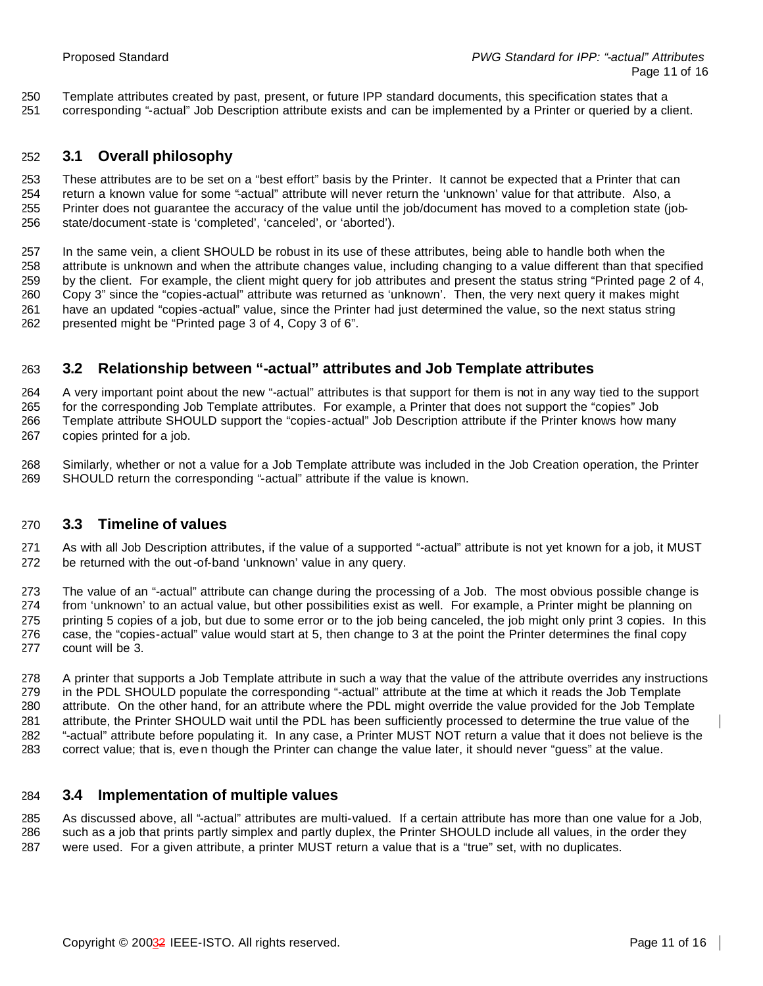Template attributes created by past, present, or future IPP standard documents, this specification states that a corresponding "-actual" Job Description attribute exists and can be implemented by a Printer or queried by a client.

## **3.1 Overall philosophy**

 These attributes are to be set on a "best effort" basis by the Printer. It cannot be expected that a Printer that can return a known value for some "-actual" attribute will never return the 'unknown' value for that attribute. Also, a Printer does not guarantee the accuracy of the value until the job/document has moved to a completion state (job-state/document-state is 'completed', 'canceled', or 'aborted').

 In the same vein, a client SHOULD be robust in its use of these attributes, being able to handle both when the attribute is unknown and when the attribute changes value, including changing to a value different than that specified by the client. For example, the client might query for job attributes and present the status string "Printed page 2 of 4, Copy 3" since the "copies-actual" attribute was returned as 'unknown'. Then, the very next query it makes might have an updated "copies -actual" value, since the Printer had just determined the value, so the next status string presented might be "Printed page 3 of 4, Copy 3 of 6".

## **3.2 Relationship between "-actual" attributes and Job Template attributes**

 A very important point about the new "-actual" attributes is that support for them is not in any way tied to the support for the corresponding Job Template attributes. For example, a Printer that does not support the "copies" Job Template attribute SHOULD support the "copies-actual" Job Description attribute if the Printer knows how many copies printed for a job.

 Similarly, whether or not a value for a Job Template attribute was included in the Job Creation operation, the Printer SHOULD return the corresponding "-actual" attribute if the value is known.

### **3.3 Timeline of values**

 As with all Job Description attributes, if the value of a supported "-actual" attribute is not yet known for a job, it MUST be returned with the out-of-band 'unknown' value in any query.

 The value of an "-actual" attribute can change during the processing of a Job. The most obvious possible change is from 'unknown' to an actual value, but other possibilities exist as well. For example, a Printer might be planning on printing 5 copies of a job, but due to some error or to the job being canceled, the job might only print 3 copies. In this case, the "copies-actual" value would start at 5, then change to 3 at the point the Printer determines the final copy count will be 3.

278 A printer that supports a Job Template attribute in such a way that the value of the attribute overrides any instructions in the PDL SHOULD populate the corresponding "-actual" attribute at the time at which it reads the Job Template attribute. On the other hand, for an attribute where the PDL might override the value provided for the Job Template attribute, the Printer SHOULD wait until the PDL has been sufficiently processed to determine the true value of the "-actual" attribute before populating it. In any case, a Printer MUST NOT return a value that it does not believe is the correct value; that is, eve n though the Printer can change the value later, it should never "guess" at the value.

### **3.4 Implementation of multiple values**

 As discussed above, all "-actual" attributes are multi-valued. If a certain attribute has more than one value for a Job, such as a job that prints partly simplex and partly duplex, the Printer SHOULD include all values, in the order they were used. For a given attribute, a printer MUST return a value that is a "true" set, with no duplicates.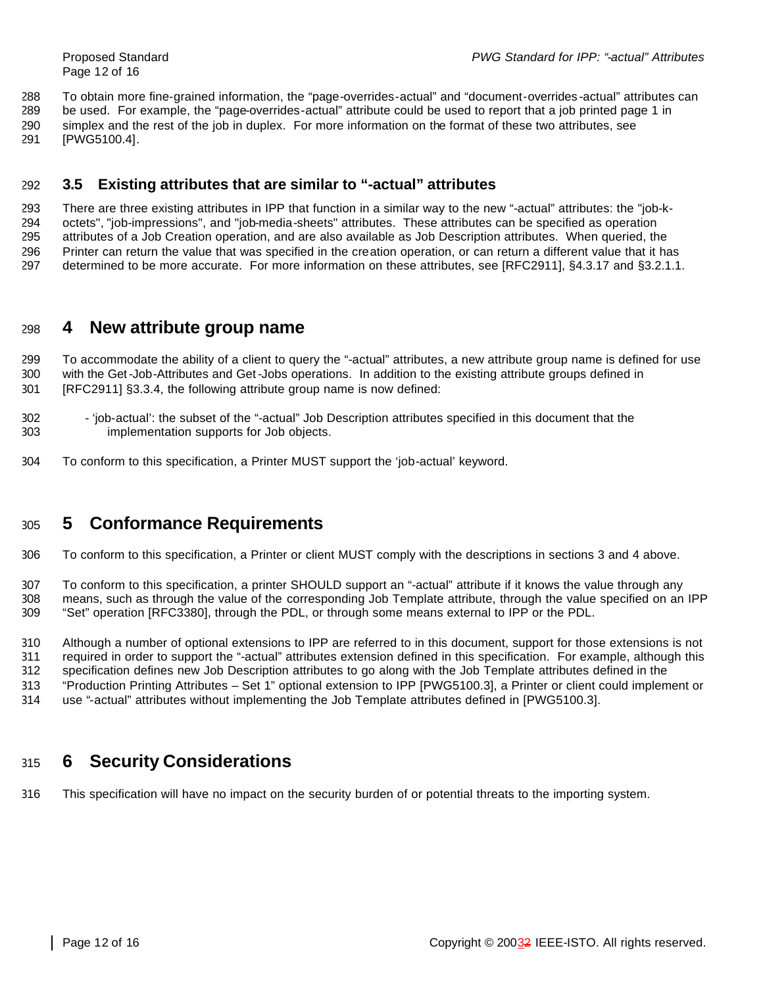Page 12 of 16

 To obtain more fine-grained information, the "page-overrides-actual" and "document-overrides -actual" attributes can be used. For example, the "page-overrides-actual" attribute could be used to report that a job printed page 1 in simplex and the rest of the job in duplex. For more information on the format of these two attributes, see [PWG5100.4].

## **3.5 Existing attributes that are similar to "-actual" attributes**

 There are three existing attributes in IPP that function in a similar way to the new "-actual" attributes: the "job-k- octets", "job-impressions", and "job-media-sheets" attributes. These attributes can be specified as operation attributes of a Job Creation operation, and are also available as Job Description attributes. When queried, the Printer can return the value that was specified in the creation operation, or can return a different value that it has determined to be more accurate. For more information on these attributes, see [RFC2911], §4.3.17 and §3.2.1.1.

## **4 New attribute group name**

 To accommodate the ability of a client to query the "-actual" attributes, a new attribute group name is defined for use with the Get-Job-Attributes and Get-Jobs operations. In addition to the existing attribute groups defined in [RFC2911] §3.3.4, the following attribute group name is now defined:

- 302 'job-actual': the subset of the "-actual" Job Description attributes specified in this document that the implementation supports for Job objects.
- To conform to this specification, a Printer MUST support the 'job-actual' keyword.

## **5 Conformance Requirements**

To conform to this specification, a Printer or client MUST comply with the descriptions in sections 3 and 4 above.

 To conform to this specification, a printer SHOULD support an "-actual" attribute if it knows the value through any means, such as through the value of the corresponding Job Template attribute, through the value specified on an IPP "Set" operation [RFC3380], through the PDL, or through some means external to IPP or the PDL.

 Although a number of optional extensions to IPP are referred to in this document, support for those extensions is not required in order to support the "-actual" attributes extension defined in this specification. For example, although this specification defines new Job Description attributes to go along with the Job Template attributes defined in the "Production Printing Attributes – Set 1" optional extension to IPP [PWG5100.3], a Printer or client could implement or

use "-actual" attributes without implementing the Job Template attributes defined in [PWG5100.3].

## **6 Security Considerations**

This specification will have no impact on the security burden of or potential threats to the importing system.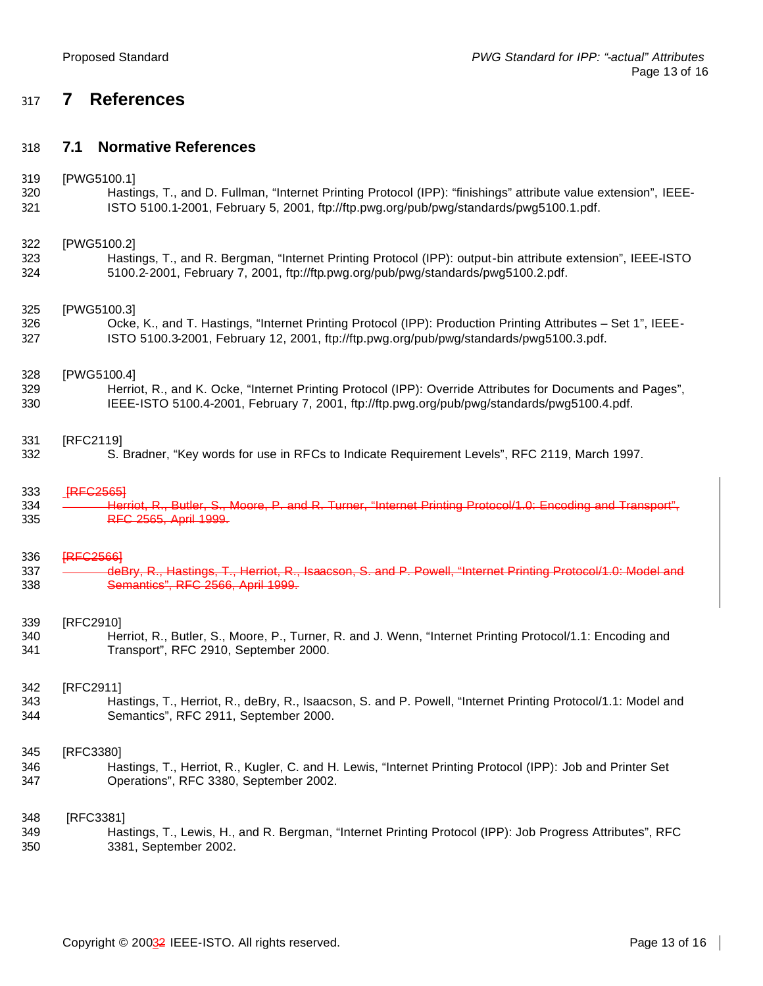## **7 References**

## **7.1 Normative References**

- [PWG5100.1]
- Hastings, T., and D. Fullman, "Internet Printing Protocol (IPP): "finishings" attribute value extension", IEEE-ISTO 5100.1-2001, February 5, 2001, ftp://ftp.pwg.org/pub/pwg/standards/pwg5100.1.pdf.
- [PWG5100.2]
- Hastings, T., and R. Bergman, "Internet Printing Protocol (IPP): output-bin attribute extension", IEEE-ISTO 5100.2-2001, February 7, 2001, ftp://ftp.pwg.org/pub/pwg/standards/pwg5100.2.pdf.
- [PWG5100.3]
- Ocke, K., and T. Hastings, "Internet Printing Protocol (IPP): Production Printing Attributes Set 1", IEEE-ISTO 5100.3-2001, February 12, 2001, ftp://ftp.pwg.org/pub/pwg/standards/pwg5100.3.pdf.

#### [PWG5100.4]

 Herriot, R., and K. Ocke, "Internet Printing Protocol (IPP): Override Attributes for Documents and Pages", IEEE-ISTO 5100.4-2001, February 7, 2001, ftp://ftp.pwg.org/pub/pwg/standards/pwg5100.4.pdf.

#### **IRFC21191**

S. Bradner, "Key words for use in RFCs to Indicate Requirement Levels", RFC 2119, March 1997.

#### 333 [RFC2565]

334 Herriot, R., Butler, S., Moore, P. and R. Turner, "Internet Printing Protocol/1.0: Encoding and Transport", RFC 2565, April 1999.

#### **IRFC25661**

337 deBry, R., Hastings, T., Herriot, R., Isaacson, S. and P. Powell, "Internet Printing Protocol/1.0: Model and Semantics", RFC 2566, April 1999.

#### [RFC2910]

340 Herriot, R., Butler, S., Moore, P., Turner, R. and J. Wenn, "Internet Printing Protocol/1.1: Encoding and Transport", RFC 2910, September 2000.

#### [RFC2911]

 Hastings, T., Herriot, R., deBry, R., Isaacson, S. and P. Powell, "Internet Printing Protocol/1.1: Model and Semantics", RFC 2911, September 2000.

#### [RFC3380]

 Hastings, T., Herriot, R., Kugler, C. and H. Lewis, "Internet Printing Protocol (IPP): Job and Printer Set Operations", RFC 3380, September 2002.

#### 348 [RFC3381]

 Hastings, T., Lewis, H., and R. Bergman, "Internet Printing Protocol (IPP): Job Progress Attributes", RFC 3381, September 2002.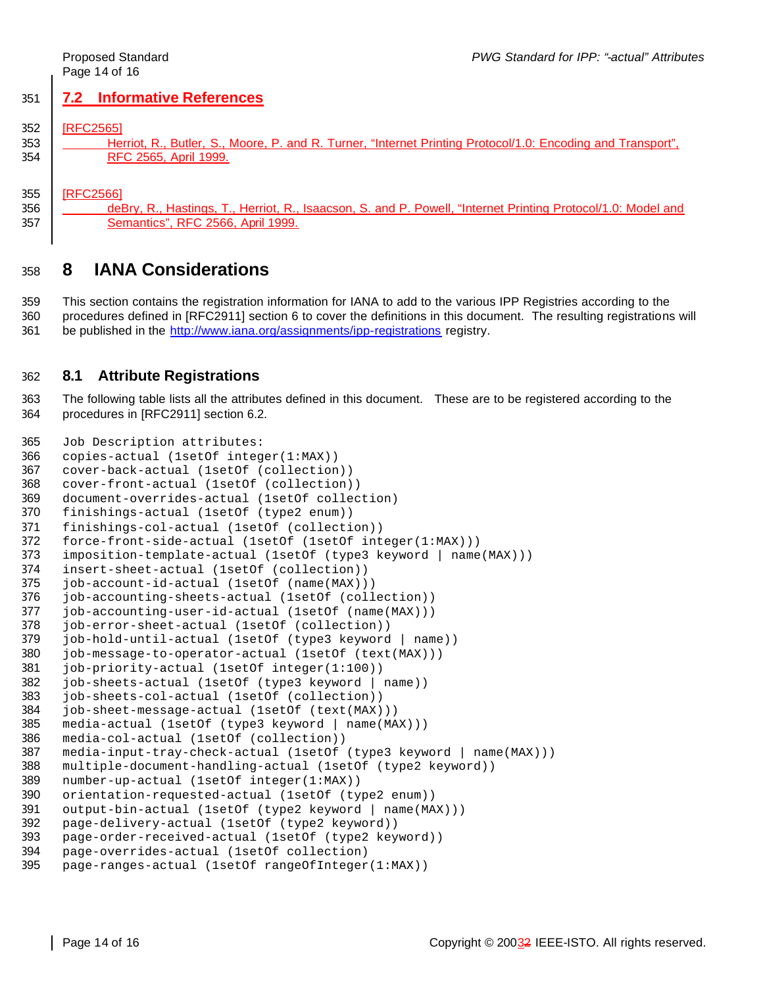## **7.2 Informative References**

352 | **IRFC25651** 

353 | **Herriot, R., Butler, S., Moore, P. and R. Turner, "Internet Printing Protocol/1.0: Encoding and Transport",** RFC 2565, April 1999.

[RFC2566]

 deBry, R., Hastings, T., Herriot, R., Isaacson, S. and P. Powell, "Internet Printing Protocol/1.0: Model and Semantics", RFC 2566, April 1999.

## **8 IANA Considerations**

 This section contains the registration information for IANA to add to the various IPP Registries according to the procedures defined in [RFC2911] section 6 to cover the definitions in this document. The resulting registrations will be published in the http://www.iana.org/assignments/ipp-registrations registry.

## **8.1 Attribute Registrations**

 The following table lists all the attributes defined in this document. These are to be registered according to the procedures in [RFC2911] section 6.2.

```
365 Job Description attributes:
366 copies-actual (1setOf integer(1:MAX))
367 cover-back-actual (1setOf (collection))
368 cover-front-actual (1setOf (collection))
369 document-overrides-actual (1setOf collection)
370 finishings-actual (1setOf (type2 enum))
371 finishings-col-actual (1setOf (collection))
372 force-front-side-actual (1setOf (1setOf integer(1:MAX)))
373 imposition-template-actual (1setOf (type3 keyword | name(MAX)))
374 insert-sheet-actual (1setOf (collection))<br>375 iob-account-id-actual (1setOf (name(MAX))
      job-account-id-actual (1setOf (name(MAX)))
376 job-accounting-sheets-actual (1setOf (collection))
377 job-accounting-user-id-actual (1setOf (name(MAX)))
378 job-error-sheet-actual (1setOf (collection))
379 job-hold-until-actual (1setOf (type3 keyword | name))
380 job-message-to-operator-actual (1setOf (text(MAX)))
381 job-priority-actual (1setOf integer(1:100))
382 job-sheets-actual (1setOf (type3 keyword | name))
383 job-sheets-col-actual (1setOf (collection))
384 job-sheet-message-actual (1setOf (text(MAX)))
385 media-actual (1setOf (type3 keyword | name(MAX)))
386 media-col-actual (1setOf (collection))
387 media-input-tray-check-actual (1setOf (type3 keyword | name(MAX)))
388 multiple-document-handling-actual (1setOf (type2 keyword))<br>389 number-up-actual (1setOf integer(1:MAX))
     number-up-actual (1setOf integer(1:MAX))
390 orientation-requested-actual (1setOf (type2 enum))
391 output-bin-actual (1setOf (type2 keyword | name(MAX)))<br>392 page-deliverv-actual (1setOf (type2 keyword))
     392 page-delivery-actual (1setOf (type2 keyword))
393 page-order-received-actual (1setOf (type2 keyword))
394 page-overrides-actual (1setOf collection)
395 page-ranges-actual (1setOf rangeOfInteger(1:MAX))
```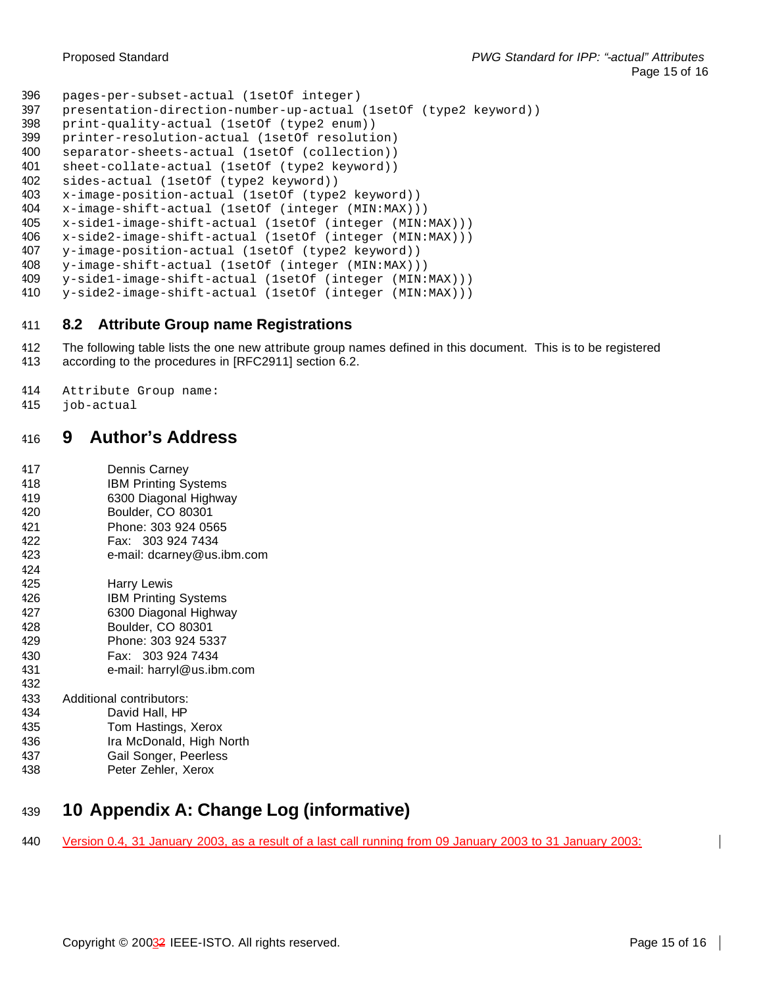pages-per-subset-actual (1setOf integer) presentation-direction-number-up-actual (1setOf (type2 keyword)) print-quality-actual (1setOf (type2 enum)) printer-resolution-actual (1setOf resolution) separator-sheets-actual (1setOf (collection)) sheet-collate-actual (1setOf (type2 keyword)) sides-actual (1setOf (type2 keyword)) x-image-position-actual (1setOf (type2 keyword)) x-image-shift-actual (1setOf (integer (MIN:MAX))) x-side1-image-shift-actual (1setOf (integer (MIN:MAX))) x-side2-image-shift-actual (1setOf (integer (MIN:MAX))) y-image-position-actual (1setOf (type2 keyword)) y-image-shift-actual (1setOf (integer (MIN:MAX))) y-side1-image-shift-actual (1setOf (integer (MIN:MAX))) y-side2-image-shift-actual (1setOf (integer (MIN:MAX)))

## **8.2 Attribute Group name Registrations**

 The following table lists the one new attribute group names defined in this document. This is to be registered according to the procedures in [RFC2911] section 6.2.

Attribute Group name:

job-actual

## **9 Author's Address**

- Dennis Carney
- IBM Printing Systems
- 6300 Diagonal Highway
- Boulder, CO 80301
- Phone: 303 924 0565
- Fax: 303 924 7434
- e-mail: dcarney@us.ibm.com
- Harry Lewis IBM Printing Systems
- 6300 Diagonal Highway
- Boulder, CO 80301
- Phone: 303 924 5337
- Fax: 303 924 7434
- e-mail: harryl@us.ibm.com
- Additional contributors: David Hall, HP Tom Hastings, Xerox Ira McDonald, High North
- Gail Songer, Peerless
- Peter Zehler, Xerox

## **10 Appendix A: Change Log (informative)**

Version 0.4, 31 January 2003, as a result of a last call running from 09 January 2003 to 31 January 2003: